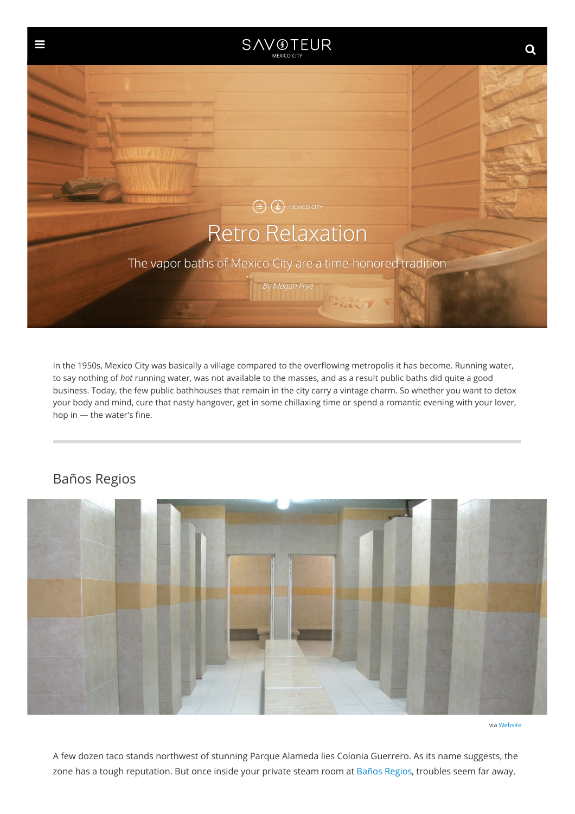

In the 1950s, Mexico City was basically a village compared to the overflowing metropolis it has become. Running water, to say nothing of *hot* running water, was not available to the masses, and as a result public baths did quite a good business. Today, the few public bathhouses that remain in the city carry a vintage charm. So whether you want to detox your body and mind, cure that nasty hangover, get in some chillaxing time or spend a romantic evening with your lover, hop in — the water's fine.



## Baños Regios

via [Website](http://banosregios.com/)

A few dozen taco stands northwest of stunning Parque Alameda lies Colonia Guerrero. As its name suggests, the zone has a tough reputation. But once inside your private steam room at Baños [Regios](http://banosregios.com/), troubles seem far away.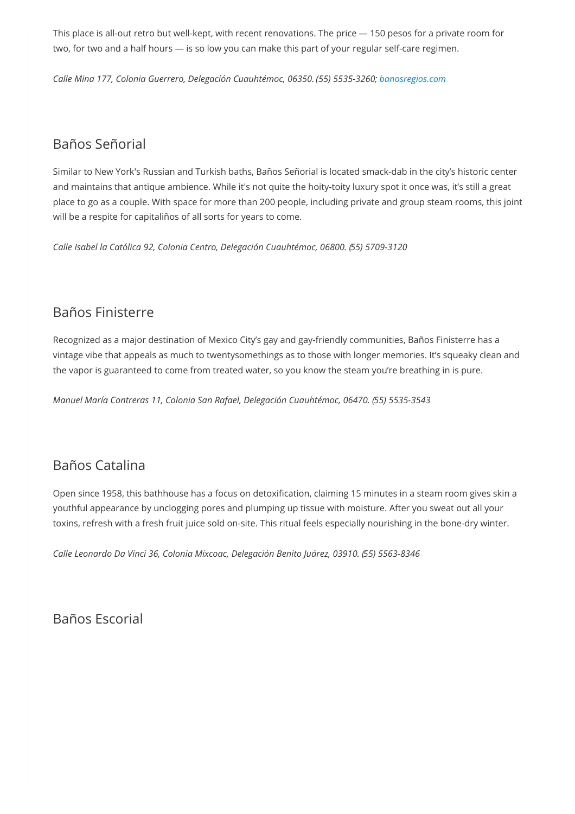This place is all-out retro but well-kept, with recent renovations. The price — 150 pesos for a private room for two, for two and a half hours — is so low you can make this part of your regular self-care regimen.

*Calle Mina 177, Colonia Guerrero, Delegación Cuauhtémoc, 06350. (55) 5535-3260; [banosregios.com](http://banosregios.com/)*

# Baños Señorial

Similar to New York's Russian and Turkish baths, Baños Señorial is located smack-dab in the city's historic center and maintains that antique ambience. While it's not quite the hoity-toity luxury spot it once was, it's still a great place to go as a couple. With space for more than 200 people, including private and group steam rooms, this joint will be a respite for capitaliños of all sorts for years to come.

*Calle Isabel la Católica 92, Colonia Centro, Delegación Cuauhtémoc, 06800. (55) 5709-3120*

### Baños Finisterre

Recognized as a major destination of Mexico City's gay and gay-friendly communities, Baños Finisterre has a vintage vibe that appeals as much to twentysomethings as to those with longer memories. It's squeaky clean and the vapor is guaranteed to come from treated water, so you know the steam you're breathing in is pure.

*Manuel María Contreras 11, Colonia San Rafael, Delegación Cuauhtémoc, 06470. (55) 5535-3543*

## Baños Catalina

Open since 1958, this bathhouse has a focus on detoxification, claiming 15 minutes in a steam room gives skin a youthful appearance by unclogging pores and plumping up tissue with moisture. After you sweat out all your toxins, refresh with a fresh fruit juice sold on-site. This ritual feels especially nourishing in the bone-dry winter.

*Calle Leonardo Da Vinci 36, Colonia Mixcoac, Delegación Benito Juárez, 03910. (55) 5563-8346*

Baños Escorial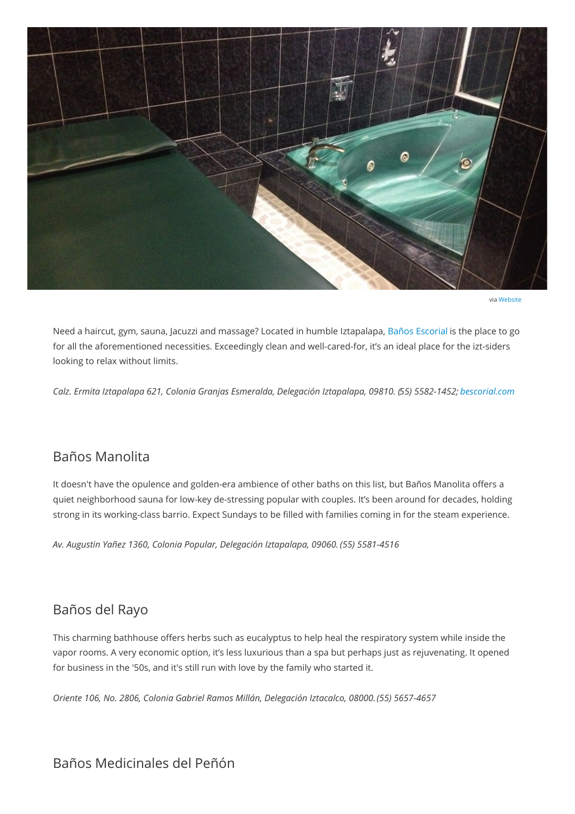<span id="page-2-0"></span>

via [Website](https://www.bescorial.com/)

Need a haircut, gym, sauna, Jacuzzi and massage? Located in humble Iztapalapa, Baños [Escorial](https://www.bescorial.com/) is the place to go for all the aforementioned necessities. Exceedingly clean and well-cared-for, it's an ideal place for the izt-siders looking to relax without limits.

*Calz. Ermita Iztapalapa 621, Colonia Granjas Esmeralda, Delegación Iztapalapa, 09810. (55) 5582-1452; [bescorial.com](http://www.bescorial.com/)*

#### Baños Manolita

It doesn't have the opulence and golden-era ambience of other baths on this list, but Baños Manolita offers a quiet neighborhood sauna for low-key de-stressing popular with couples. It's been around for decades, holding strong in its working-class barrio. Expect Sundays to be filled with families coming in for the steam experience.

*Av. Augustin Yañez 1360, Colonia Popular, Delegación Iztapalapa, 09060. (55) 5581-4516*

#### Baños del Rayo

This charming bathhouse offers herbs such as eucalyptus to help heal the respiratory system while inside the vapor rooms. A very economic option, it's less luxurious than a spa but perhaps just as rejuvenating. It opened for business in the '50s, and it's still run with love by the family who started it.

*Oriente 106, No. 2806, Colonia Gabriel Ramos Millán, Delegación Iztacalco, 08000.(55) 5657-4657*

### Baños Medicinales del Peñón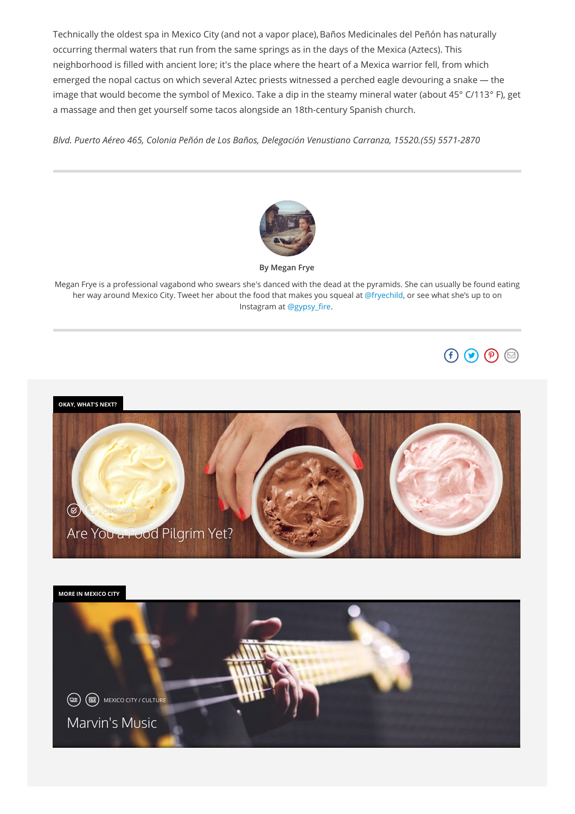Technically the oldest spa in Mexico City (and not a vapor place), Baños Medicinales del Peñón has naturally occurring thermal waters that run from the same springs as in the days of the Mexica (Aztecs). This neighborhood is filled with ancient lore; it's the place where the heart of a Mexica warrior fell, from which emerged the nopal cactus on which several Aztec priests witnessed a perched eagle devouring a snake — the image that would become the symbol of Mexico. Take a dip in the steamy mineral water (about 45° C/113° F), get a massage and then get yourself some tacos alongside an 18th-century Spanish church.

*Blvd. Puerto Aéreo 465, Colonia Peñón de Los Baños, Delegación Venustiano Carranza, 15520.(55) 5571-2870*



**By Megan Frye**

Megan Frye is a professional vagabond who swears she's danced with the dead at the pyramids. She can usually be found eating her way around Mexico City. Tweet her about the food that makes you squeal at [@fryechild](https://twitter.com/fryechild), or see what she's up to on Instagram at [@gypsy\\_fire](https://www.instagram.com/gypsy_fire).